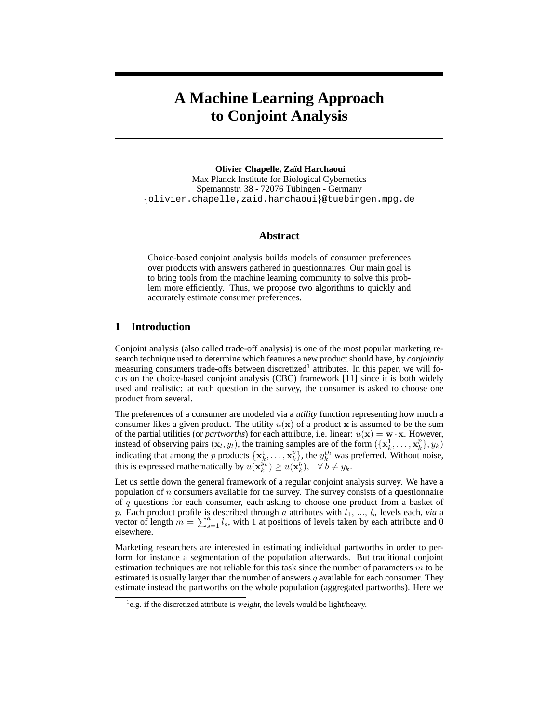# **A Machine Learning Approach to Conjoint Analysis**

**Olivier Chapelle, Za¨ıd Harchaoui** Max Planck Institute for Biological Cybernetics Spemannstr. 38 - 72076 Tübingen - Germany {olivier.chapelle,zaid.harchaoui}@tuebingen.mpg.de

## **Abstract**

Choice-based conjoint analysis builds models of consumer preferences over products with answers gathered in questionnaires. Our main goal is to bring tools from the machine learning community to solve this problem more efficiently. Thus, we propose two algorithms to quickly and accurately estimate consumer preferences.

# **1 Introduction**

Conjoint analysis (also called trade-off analysis) is one of the most popular marketing research technique used to determine which features a new product should have, by *conjointly* measuring consumers trade-offs between discretized<sup>1</sup> attributes. In this paper, we will focus on the choice-based conjoint analysis (CBC) framework [11] since it is both widely used and realistic: at each question in the survey, the consumer is asked to choose one product from several.

The preferences of a consumer are modeled via a *utility* function representing how much a consumer likes a given product. The utility  $u(x)$  of a product x is assumed to be the sum of the partial utilities (or *partworths*) for each attribute, i.e. linear:  $u(\mathbf{x}) = \mathbf{w} \cdot \mathbf{x}$ . However, instead of observing pairs  $(x_l, y_l)$ , the training samples are of the form  $(\{x_k^1, \ldots, x_k^p\}, y_k)$ indicating that among the p products  $\{x_k^1, \ldots, x_k^p\}$ , the  $y_k^{th}$  was preferred. Without noise, this is expressed mathematically by  $u(\mathbf{x}_k^{y_k}) \geq u(\mathbf{x}_k^{b}), \quad \forall \, b \neq y_k$ .

Let us settle down the general framework of a regular conjoint analysis survey. We have a population of  $n$  consumers available for the survey. The survey consists of a questionnaire of q questions for each consumer, each asking to choose one product from a basket of p. Each product profile is described through a attributes with  $l_1, ..., l_a$  levels each, *via* a vector of length  $m = \sum_{s=1}^{a} l_s$ , with 1 at positions of levels taken by each attribute and 0 elsewhere.

Marketing researchers are interested in estimating individual partworths in order to perform for instance a segmentation of the population afterwards. But traditional conjoint estimation techniques are not reliable for this task since the number of parameters  $m$  to be estimated is usually larger than the number of answers  $q$  available for each consumer. They estimate instead the partworths on the whole population (aggregated partworths). Here we

<sup>&</sup>lt;sup>1</sup>e.g. if the discretized attribute is weight, the levels would be light/heavy.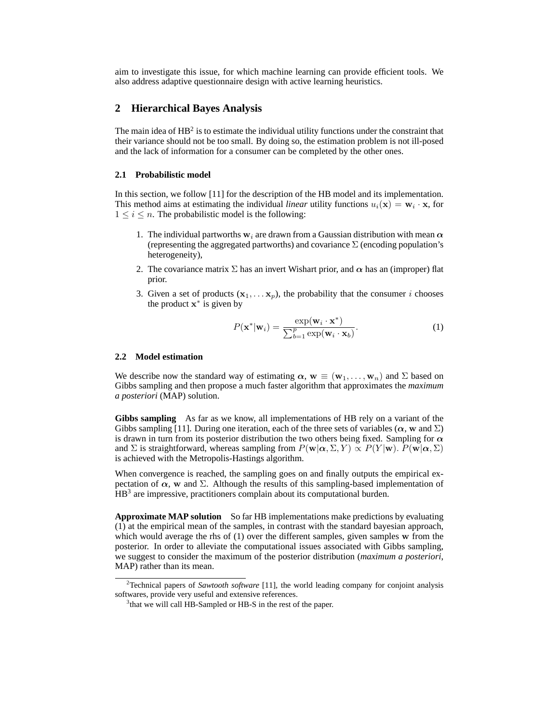aim to investigate this issue, for which machine learning can provide efficient tools. We also address adaptive questionnaire design with active learning heuristics.

# **2 Hierarchical Bayes Analysis**

The main idea of  $HB^2$  is to estimate the individual utility functions under the constraint that their variance should not be too small. By doing so, the estimation problem is not ill-posed and the lack of information for a consumer can be completed by the other ones.

#### **2.1 Probabilistic model**

In this section, we follow [11] for the description of the HB model and its implementation. This method aims at estimating the individual *linear* utility functions  $u_i(\mathbf{x}) = \mathbf{w}_i \cdot \mathbf{x}$ , for  $1 \leq i \leq n$ . The probabilistic model is the following:

- 1. The individual partworths  $w_i$  are drawn from a Gaussian distribution with mean  $\alpha$ (representing the aggregated partworths) and covariance  $\Sigma$  (encoding population's heterogeneity),
- 2. The covariance matrix  $\Sigma$  has an invert Wishart prior, and  $\alpha$  has an (improper) flat prior.
- 3. Given a set of products  $(x_1, \ldots, x_p)$ , the probability that the consumer *i* chooses the product  $\mathbf{x}^*$  is given by

$$
P(\mathbf{x}^*|\mathbf{w}_i) = \frac{\exp(\mathbf{w}_i \cdot \mathbf{x}^*)}{\sum_{b=1}^p \exp(\mathbf{w}_i \cdot \mathbf{x}_b)}.
$$
 (1)

#### **2.2 Model estimation**

We describe now the standard way of estimating  $\alpha$ ,  $w \equiv (w_1, \dots, w_n)$  and  $\Sigma$  based on Gibbs sampling and then propose a much faster algorithm that approximates the *maximum a posteriori* (MAP) solution.

**Gibbs sampling** As far as we know, all implementations of HB rely on a variant of the Gibbs sampling [11]. During one iteration, each of the three sets of variables ( $\alpha$ , w and  $\Sigma$ ) is drawn in turn from its posterior distribution the two others being fixed. Sampling for  $\alpha$ and  $\Sigma$  is straightforward, whereas sampling from  $P(\mathbf{w}|\alpha, \Sigma, Y) \propto P(Y|\mathbf{w})$ .  $P(\mathbf{w}|\alpha, \Sigma)$ is achieved with the Metropolis-Hastings algorithm.

When convergence is reached, the sampling goes on and finally outputs the empirical expectation of  $\alpha$ , w and  $\Sigma$ . Although the results of this sampling-based implementation of HB<sup>3</sup> are impressive, practitioners complain about its computational burden.

**Approximate MAP solution** So far HB implementations make predictions by evaluating (1) at the empirical mean of the samples, in contrast with the standard bayesian approach, which would average the rhs of (1) over the different samples, given samples w from the posterior. In order to alleviate the computational issues associated with Gibbs sampling, we suggest to consider the maximum of the posterior distribution (*maximum a posteriori*, MAP) rather than its mean.

<sup>2</sup>Technical papers of *Sawtooth software* [11], the world leading company for conjoint analysis softwares, provide very useful and extensive references.

<sup>&</sup>lt;sup>3</sup> that we will call HB-Sampled or HB-S in the rest of the paper.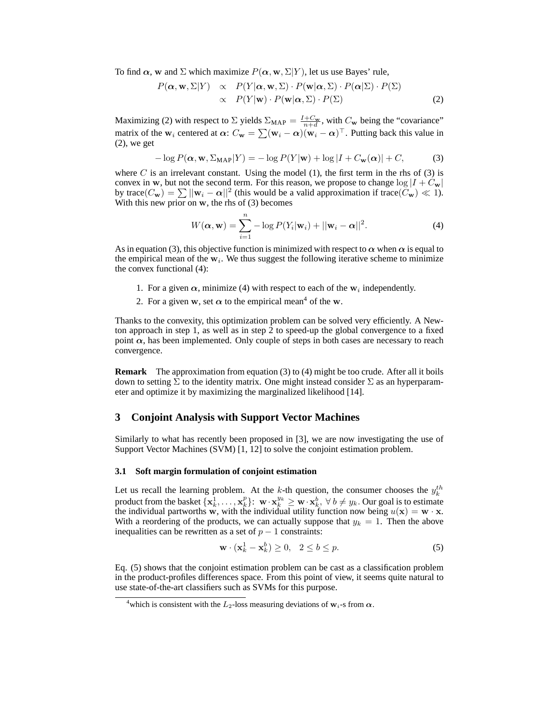To find  $\alpha$ , w and  $\Sigma$  which maximize  $P(\alpha, w, \Sigma|Y)$ , let us use Bayes' rule,

$$
P(\boldsymbol{\alpha}, \mathbf{w}, \Sigma | Y) \propto P(Y | \boldsymbol{\alpha}, \mathbf{w}, \Sigma) \cdot P(\mathbf{w} | \boldsymbol{\alpha}, \Sigma) \cdot P(\boldsymbol{\alpha} | \Sigma) \cdot P(\Sigma) \propto P(Y | \mathbf{w}) \cdot P(\mathbf{w} | \boldsymbol{\alpha}, \Sigma) \cdot P(\Sigma)
$$
\n(2)

Maximizing (2) with respect to  $\Sigma$  yields  $\Sigma_{MAP} = \frac{I + C_w}{n+d}$ , with  $C_w$  being the "covariance" matrix of the  $w_i$  centered at  $\alpha$ :  $C_w = \sum (w_i - \alpha)(w_i - \alpha)^{\top}$ . Putting back this value in (2), we get

$$
-\log P(\alpha, \mathbf{w}, \Sigma_{\text{MAP}} | Y) = -\log P(Y | \mathbf{w}) + \log |I + C_{\mathbf{w}}(\alpha)| + C,\tag{3}
$$

where C is an irrelevant constant. Using the model  $(1)$ , the first term in the rhs of  $(3)$  is convex in w, but not the second term. For this reason, we propose to change  $\log |I + C_{w}|$ by trace $(C_{\mathbf{w}}) = \sum ||\mathbf{w}_i - \alpha||^2$  (this would be a valid approximation if trace $(\tilde{C}_{\mathbf{w}}) \ll 1$ ). With this new prior on  $w$ , the rhs of  $(3)$  becomes

$$
W(\boldsymbol{\alpha}, \mathbf{w}) = \sum_{i=1}^{n} -\log P(Y_i|\mathbf{w}_i) + ||\mathbf{w}_i - \boldsymbol{\alpha}||^2.
$$
 (4)

As in equation (3), this objective function is minimized with respect to  $\alpha$  when  $\alpha$  is equal to the empirical mean of the  $w_i$ . We thus suggest the following iterative scheme to minimize the convex functional (4):

- 1. For a given  $\alpha$ , minimize (4) with respect to each of the  $w_i$  independently.
- 2. For a given w, set  $\alpha$  to the empirical mean<sup>4</sup> of the w.

Thanks to the convexity, this optimization problem can be solved very efficiently. A Newton approach in step 1, as well as in step 2 to speed-up the global convergence to a fixed point  $\alpha$ , has been implemented. Only couple of steps in both cases are necessary to reach convergence.

**Remark** The approximation from equation (3) to (4) might be too crude. After all it boils down to setting  $\Sigma$  to the identity matrix. One might instead consider  $\Sigma$  as an hyperparameter and optimize it by maximizing the marginalized likelihood [14].

# **3 Conjoint Analysis with Support Vector Machines**

Similarly to what has recently been proposed in [3], we are now investigating the use of Support Vector Machines (SVM) [1, 12] to solve the conjoint estimation problem.

## **3.1 Soft margin formulation of conjoint estimation**

Let us recall the learning problem. At the k-th question, the consumer chooses the  $y_k^{th}$ product from the basket  $\{x_k^1, \ldots, x_k^p\}$ :  $\mathbf{w} \cdot \mathbf{x}_k^{y_k} \geq \mathbf{w} \cdot \mathbf{x}_k^b$ ,  $\forall b \neq y_k$ . Our goal is to estimate the individual partworths w, with the individual utility function now being  $u(\mathbf{x}) = \mathbf{w} \cdot \mathbf{x}$ . With a reordering of the products, we can actually suppose that  $y_k = 1$ . Then the above inequalities can be rewritten as a set of  $p - 1$  constraints:

$$
\mathbf{w} \cdot (\mathbf{x}_k^1 - \mathbf{x}_k^b) \ge 0, \quad 2 \le b \le p. \tag{5}
$$

Eq. (5) shows that the conjoint estimation problem can be cast as a classification problem in the product-profiles differences space. From this point of view, it seems quite natural to use state-of-the-art classifiers such as SVMs for this purpose.

<sup>&</sup>lt;sup>4</sup>which is consistent with the  $L_2$ -loss measuring deviations of  $w_i$ -s from  $\alpha$ .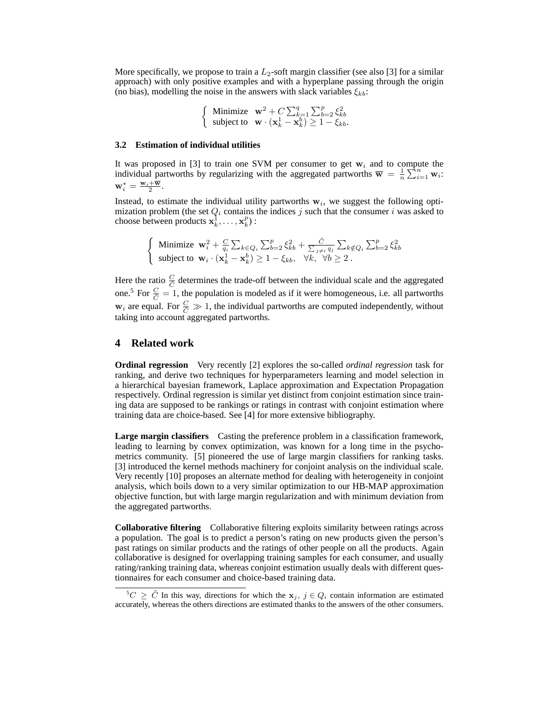More specifically, we propose to train a  $L_2$ -soft margin classifier (see also [3] for a similar approach) with only positive examples and with a hyperplane passing through the origin (no bias), modelling the noise in the answers with slack variables  $\xi_{kb}$ :

$$
\left\{\begin{array}{ll}\text{Minimize} & \mathbf{w}^2 + C\sum_{k=1}^q\sum_{b=2}^p \xi_{kb}^2\\ \text{subject to} & \mathbf{w} \cdot (\mathbf{x}_k^1 - \mathbf{x}_k^b) \ge 1 - \xi_{kb}.\end{array}\right.
$$

#### **3.2 Estimation of individual utilities**

It was proposed in [3] to train one SVM per consumer to get  $w_i$  and to compute the individual partworths by regularizing with the aggregated partworths  $\overline{\mathbf{w}} = \frac{1}{n} \sum_{i=1}^{n} \mathbf{w}_i$ .  $\mathbf{w}_i^* = \frac{\mathbf{w}_i + \overline{\mathbf{w}}}{2}.$ 

Instead, to estimate the individual utility partworths  $w<sub>i</sub>$ , we suggest the following optimization problem (the set  $Q_i$  contains the indices j such that the consumer i was asked to choose between products  $\mathbf{x}_k^1, \dots, \mathbf{x}_k^p$  :

Minimize 
$$
\mathbf{w}_i^2 + \frac{C}{q_i} \sum_{k \in Q_i} \sum_{b=2}^p \xi_{kb}^2 + \frac{\tilde{C}}{\sum_{j \neq i} q_j} \sum_{k \notin Q_i} \sum_{b=2}^p \xi_{kb}^2
$$
  
subject to  $\mathbf{w}_i \cdot (\mathbf{x}_k^1 - \mathbf{x}_k^b) \ge 1 - \xi_{kb}, \quad \forall k, \quad \forall b \ge 2$ .

Here the ratio  $\frac{C}{C}$  determines the trade-off between the individual scale and the aggregated one.<sup>5</sup> For  $\frac{C}{\tilde{C}} = 1$ , the population is modeled as if it were homogeneous, i.e. all partworths  $w_i$  are equal. For  $\frac{C}{\tilde{C}} \gg 1$ , the individual partworths are computed independently, without taking into account aggregated partworths.

## **4 Related work**

 $\left\{ \right.$ 

**Ordinal regression** Very recently [2] explores the so-called *ordinal regression* task for ranking, and derive two techniques for hyperparameters learning and model selection in a hierarchical bayesian framework, Laplace approximation and Expectation Propagation respectively. Ordinal regression is similar yet distinct from conjoint estimation since training data are supposed to be rankings or ratings in contrast with conjoint estimation where training data are choice-based. See [4] for more extensive bibliography.

**Large margin classifiers** Casting the preference problem in a classification framework, leading to learning by convex optimization, was known for a long time in the psychometrics community. [5] pioneered the use of large margin classifiers for ranking tasks. [3] introduced the kernel methods machinery for conjoint analysis on the individual scale. Very recently [10] proposes an alternate method for dealing with heterogeneity in conjoint analysis, which boils down to a very similar optimization to our HB-MAP approximation objective function, but with large margin regularization and with minimum deviation from the aggregated partworths.

**Collaborative filtering** Collaborative filtering exploits similarity between ratings across a population. The goal is to predict a person's rating on new products given the person's past ratings on similar products and the ratings of other people on all the products. Again collaborative is designed for overlapping training samples for each consumer, and usually rating/ranking training data, whereas conjoint estimation usually deals with different questionnaires for each consumer and choice-based training data.

 $5C \geq \tilde{C}$  In this way, directions for which the  $x_j$ ,  $j \in Q_i$  contain information are estimated accurately, whereas the others directions are estimated thanks to the answers of the other consumers.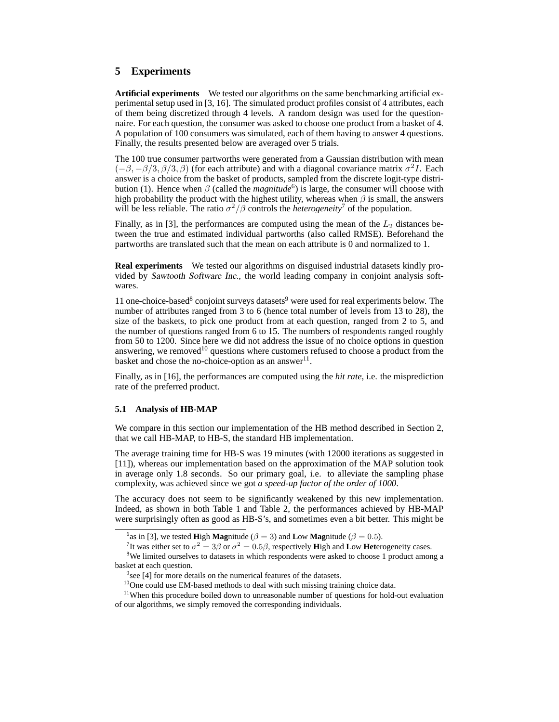# **5 Experiments**

**Artificial experiments** We tested our algorithms on the same benchmarking artificial experimental setup used in [3, 16]. The simulated product profiles consist of 4 attributes, each of them being discretized through 4 levels. A random design was used for the questionnaire. For each question, the consumer was asked to choose one product from a basket of 4. A population of 100 consumers was simulated, each of them having to answer 4 questions. Finally, the results presented below are averaged over 5 trials.

The 100 true consumer partworths were generated from a Gaussian distribution with mean  $(-\beta, -\beta/3, \beta/3, \beta)$  (for each attribute) and with a diagonal covariance matrix  $\sigma^2 I$ . Each answer is a choice from the basket of products, sampled from the discrete logit-type distribution (1). Hence when  $\beta$  (called the *magnitude*<sup>6</sup>) is large, the consumer will choose with high probability the product with the highest utility, whereas when  $\beta$  is small, the answers will be less reliable. The ratio  $\sigma^2/\beta$  controls the *heterogeneity*<sup>7</sup> of the population.

Finally, as in [3], the performances are computed using the mean of the  $L_2$  distances between the true and estimated individual partworths (also called RMSE). Beforehand the partworths are translated such that the mean on each attribute is 0 and normalized to 1.

**Real experiments** We tested our algorithms on disguised industrial datasets kindly provided by Sawtooth Software Inc., the world leading company in conjoint analysis softwares.

11 one-choice-based<sup>8</sup> conjoint surveys datasets<sup>9</sup> were used for real experiments below. The number of attributes ranged from 3 to 6 (hence total number of levels from 13 to 28), the size of the baskets, to pick one product from at each question, ranged from 2 to 5, and the number of questions ranged from 6 to 15. The numbers of respondents ranged roughly from 50 to 1200. Since here we did not address the issue of no choice options in question answering, we removed<sup>10</sup> questions where customers refused to choose a product from the basket and chose the no-choice-option as an answer $^{11}$ .

Finally, as in [16], the performances are computed using the *hit rate*, i.e. the misprediction rate of the preferred product.

#### **5.1 Analysis of HB-MAP**

We compare in this section our implementation of the HB method described in Section 2, that we call HB-MAP, to HB-S, the standard HB implementation.

The average training time for HB-S was 19 minutes (with 12000 iterations as suggested in [11]), whereas our implementation based on the approximation of the MAP solution took in average only 1.8 seconds. So our primary goal, i.e. to alleviate the sampling phase complexity, was achieved since we got *a speed-up factor of the order of 1000*.

The accuracy does not seem to be significantly weakened by this new implementation. Indeed, as shown in both Table 1 and Table 2, the performances achieved by HB-MAP were surprisingly often as good as HB-S's, and sometimes even a bit better. This might be

<sup>8</sup>We limited ourselves to datasets in which respondents were asked to choose 1 product among a basket at each question.

<sup>&</sup>lt;sup>6</sup>as in [3], we tested **High Magnitude** ( $\beta = 3$ ) and **Low Magnitude** ( $\beta = 0.5$ ).

<sup>&</sup>lt;sup>7</sup>It was either set to  $\sigma^2 = 3\beta$  or  $\sigma^2 = 0.5\beta$ , respectively **High and Low Heterogeneity cases.** 

 $9$  see [4] for more details on the numerical features of the datasets.

<sup>&</sup>lt;sup>10</sup>One could use EM-based methods to deal with such missing training choice data.

<sup>&</sup>lt;sup>11</sup>When this procedure boiled down to unreasonable number of questions for hold-out evaluation of our algorithms, we simply removed the corresponding individuals.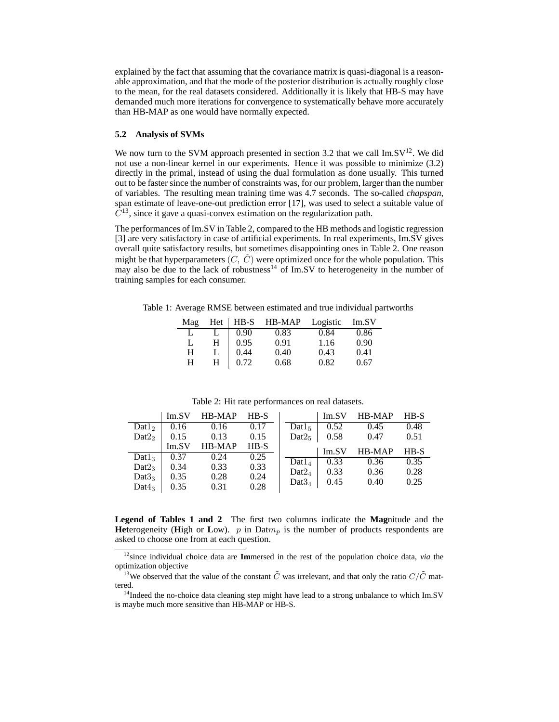explained by the fact that assuming that the covariance matrix is quasi-diagonal is a reasonable approximation, and that the mode of the posterior distribution is actually roughly close to the mean, for the real datasets considered. Additionally it is likely that HB-S may have demanded much more iterations for convergence to systematically behave more accurately than HB-MAP as one would have normally expected.

#### **5.2 Analysis of SVMs**

We now turn to the SVM approach presented in section 3.2 that we call  $\text{Im.SV}^{12}$ . We did not use a non-linear kernel in our experiments. Hence it was possible to minimize (3.2) directly in the primal, instead of using the dual formulation as done usually. This turned out to be faster since the number of constraints was, for our problem, larger than the number of variables. The resulting mean training time was 4.7 seconds. The so-called *chapspan*, span estimate of leave-one-out prediction error [17], was used to select a suitable value of  $\bar{C}^{13}$ , since it gave a quasi-convex estimation on the regularization path.

The performances of Im.SV in Table 2, compared to the HB methods and logistic regression [3] are very satisfactory in case of artificial experiments. In real experiments, Im.SV gives overall quite satisfactory results, but sometimes disappointing ones in Table 2. One reason might be that hyperparameters  $(C, \tilde{C})$  were optimized once for the whole population. This may also be due to the lack of robustness<sup>14</sup> of Im.SV to heterogeneity in the number of training samples for each consumer.

Table 1: Average RMSE between estimated and true individual partworths

| Mag |   |      | $Het$   HB-S HB-MAP | Logistic | Im.SV |
|-----|---|------|---------------------|----------|-------|
| L   | L | 0.90 | 0.83                | 0.84     | 0.86  |
| L   | H | 0.95 | 0.91                | 1.16     | 0.90  |
| Н   |   | 0.44 | 0.40                | 0.43     | 0.41  |
| Н   | H | 0.72 | 0.68                | 0.82     | 0.67  |

|                    | Im.SV | HB-MAP | $HB-S$ |                    | Im.SV | HB-MAP | $HB-S$ |
|--------------------|-------|--------|--------|--------------------|-------|--------|--------|
| Data <sub>2</sub>  | 0.16  | 0.16   | 0.17   | $\text{Dat1}_5$    | 0.52  | 0.45   | 0.48   |
| Data <sub>2</sub>  | 0.15  | 0.13   | 0.15   | Data2 <sub>5</sub> | 0.58  | 0.47   | 0.51   |
|                    | Im.SV | HB-MAP | $HB-S$ |                    | Im.SV | HB-MAP | $HB-S$ |
| Data <sub>3</sub>  | 0.37  | 0.24   | 0.25   |                    |       |        |        |
| Data <sub>3</sub>  | 0.34  | 0.33   | 0.33   | $Data_4$           | 0.33  | 0.36   | 0.35   |
| Data3 <sub>3</sub> | 0.35  | 0.28   | 0.24   | $\text{Det}2_A$    | 0.33  | 0.36   | 0.28   |
|                    |       |        |        | $Data3_4$          | 0.45  | 0.40   | 0.25   |
| Data <sub>3</sub>  | 0.35  | 0.31   | 0.28   |                    |       |        |        |

Table 2: Hit rate performances on real datasets.

**Legend of Tables 1 and 2** The first two columns indicate the **Mag**nitude and the **Het**erogeneity (**H**igh or Low). p in Datm<sub>p</sub> is the number of products respondents are asked to choose one from at each question.

<sup>12</sup>since individual choice data are **Im**mersed in the rest of the population choice data, *via* the optimization objective

<sup>&</sup>lt;sup>13</sup>We observed that the value of the constant  $\tilde{C}$  was irrelevant, and that only the ratio  $C/\tilde{C}$  mattered.

<sup>&</sup>lt;sup>14</sup>Indeed the no-choice data cleaning step might have lead to a strong unbalance to which Im.SV is maybe much more sensitive than HB-MAP or HB-S.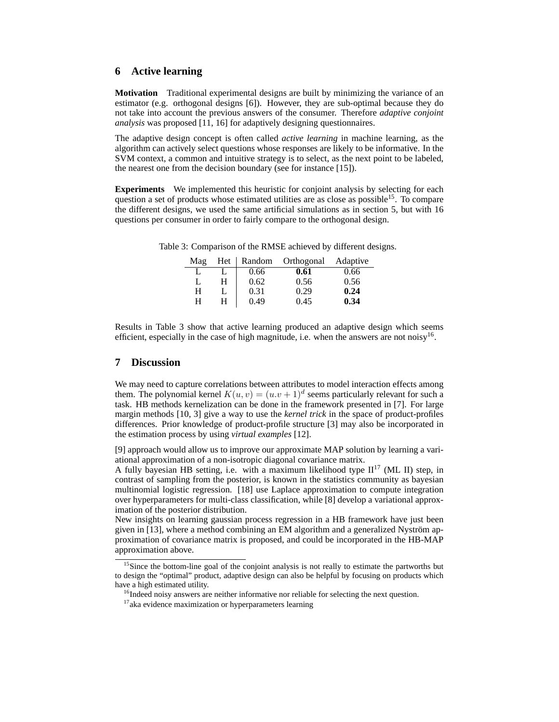# **6 Active learning**

**Motivation** Traditional experimental designs are built by minimizing the variance of an estimator (e.g. orthogonal designs [6]). However, they are sub-optimal because they do not take into account the previous answers of the consumer. Therefore *adaptive conjoint analysis* was proposed [11, 16] for adaptively designing questionnaires.

The adaptive design concept is often called *active learning* in machine learning, as the algorithm can actively select questions whose responses are likely to be informative. In the SVM context, a common and intuitive strategy is to select, as the next point to be labeled, the nearest one from the decision boundary (see for instance [15]).

**Experiments** We implemented this heuristic for conjoint analysis by selecting for each question a set of products whose estimated utilities are as close as possible<sup>15</sup>. To compare the different designs, we used the same artificial simulations as in section 5, but with 16 questions per consumer in order to fairly compare to the orthogonal design.

| Mag | Het | Random | Orthogonal | Adaptive |
|-----|-----|--------|------------|----------|
|     |     | 0.66   | 0.61       | 0.66     |
| L   | H   | 0.62   | 0.56       | 0.56     |
| H   |     | 0.31   | 0.29       | 0.24     |
| н   | H   | 0.49   | 0.45       | 0.34     |

Table 3: Comparison of the RMSE achieved by different designs.

Results in Table 3 show that active learning produced an adaptive design which seems efficient, especially in the case of high magnitude, i.e. when the answers are not noisy<sup>16</sup>.

## **7 Discussion**

We may need to capture correlations between attributes to model interaction effects among them. The polynomial kernel  $K(u, v) = (u \cdot v + 1)^d$  seems particularly relevant for such a task. HB methods kernelization can be done in the framework presented in [7]. For large margin methods [10, 3] give a way to use the *kernel trick* in the space of product-profiles differences. Prior knowledge of product-profile structure [3] may also be incorporated in the estimation process by using *virtual examples* [12].

[9] approach would allow us to improve our approximate MAP solution by learning a variational approximation of a non-isotropic diagonal covariance matrix.

A fully bayesian HB setting, i.e. with a maximum likelihood type  $II<sup>17</sup>$  (ML II) step, in contrast of sampling from the posterior, is known in the statistics community as bayesian multinomial logistic regression. [18] use Laplace approximation to compute integration over hyperparameters for multi-class classification, while [8] develop a variational approximation of the posterior distribution.

New insights on learning gaussian process regression in a HB framework have just been given in  $[13]$ , where a method combining an EM algorithm and a generalized Nyström approximation of covariance matrix is proposed, and could be incorporated in the HB-MAP approximation above.

<sup>&</sup>lt;sup>15</sup>Since the bottom-line goal of the conjoint analysis is not really to estimate the partworths but to design the "optimal" product, adaptive design can also be helpful by focusing on products which have a high estimated utility.

 $16$ Indeed noisy answers are neither informative nor reliable for selecting the next question.

<sup>&</sup>lt;sup>17</sup>aka evidence maximization or hyperparameters learning